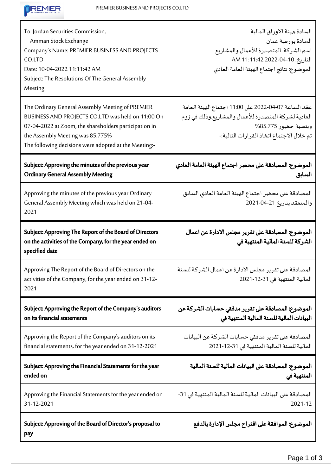

| To: Jordan Securities Commission,<br>Amman Stock Exchange<br>Company's Name: PREMIER BUSINESS AND PROJECTS<br>CO.LTD<br>Date: 10-04-2022 11:11:42 AM<br>Subject: The Resolutions Of The General Assembly<br>Meeting                                         | السادة ميئة الاوراق المالية<br>السادة بورصة عمان<br>اسم الشركة: المتصدرة للأعمال والمشاريع<br>التاريخ: 10-04-2022 11:11:42 AM<br>الموضوع: نتائج اجتماع الهيئة العامة العادي      |  |
|-------------------------------------------------------------------------------------------------------------------------------------------------------------------------------------------------------------------------------------------------------------|----------------------------------------------------------------------------------------------------------------------------------------------------------------------------------|--|
| The Ordinary General Assembly Meeting of PREMIER<br>BUSINESS AND PROJECTS CO.LTD was held on 11:00 On<br>07-04-2022 at Zoom, the shareholders participation in<br>the Assembly Meeting was 85.775%<br>The following decisions were adopted at the Meeting:- | عقد الساعة 07-04-2022 على 11:00 اجتماع الهيئة العامة<br>العادية لشركة المتصدرة للأعمال والمشاريع وذلك في زوم<br>وبنسبة حضور 85.775%<br>تم خلال الاجتماع اتخاذ القرارات التالية:- |  |
| Subject: Approving the minutes of the previous year<br><b>Ordinary General Assembly Meeting</b>                                                                                                                                                             | الموضوع: المصادقة على محضر اجتماع الهيئة العامة العادي<br>السابق                                                                                                                 |  |
| Approving the minutes of the previous year Ordinary<br>General Assembly Meeting which was held on 21-04-<br>2021                                                                                                                                            | المصادقة على محضر اجتماع الهيئة العامة العادي السابق<br>والمنعقد بتاريخ 21-04-2021                                                                                               |  |
| Subject: Approving The Report of the Board of Directors<br>on the activities of the Company, for the year ended on<br>specified date                                                                                                                        | الموضوع: المصادقة على تقرير مجلس الادارة عن اعمال<br>الشركة للسنة المالية المنتهية في                                                                                            |  |
| Approving The Report of the Board of Directors on the<br>activities of the Company, for the year ended on 31-12-<br>2021                                                                                                                                    | المصادقة على تقرير مجلس الادارة عن اعمال الشركة للسنة<br>المالية المنتهية في 31-12-2021                                                                                          |  |
| Subject: Approving the Report of the Company's auditors<br>on its financial statements                                                                                                                                                                      | الموضوع: المصادقة على تقرير مدققي حسابات الشركة عن<br>البيانات المالية للسنة المالية المنتهية في                                                                                 |  |
| Approving the Report of the Company's auditors on its<br>financial statements, for the year ended on 31-12-2021                                                                                                                                             | المصادقة على تقرير مدققي حسابات الشركة عن البيانات<br>المالية للسنة المالية المنتهية في 31-12-2021                                                                               |  |
| Subject: Approving the Financial Statements for the year<br>ended on                                                                                                                                                                                        | الموضوع: المصادقة على البيانات المالية للسنة المالية<br>المنتهية فى                                                                                                              |  |
| Approving the Financial Statements for the year ended on<br>31-12-2021                                                                                                                                                                                      | المصادقة على البيانات المالية للسنة المالية المنتهية في 31-<br>2021-12                                                                                                           |  |
| Subject: Approving of the Board of Director's proposal to<br>pay                                                                                                                                                                                            | الموضوع: الموافقة على اقتراح مجلس الإدارة بالدفع                                                                                                                                 |  |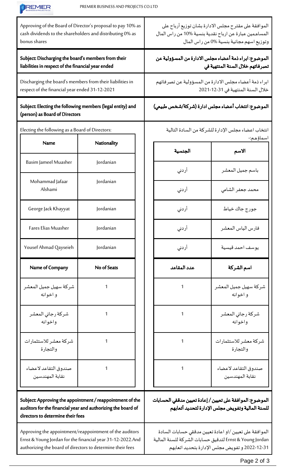| <b>REMER</b>                                                                                                                                                                        | PREMIER BUSINESS AND PROJECTS CO.LTD |                                                                                                                                                           |                                                                                                                                                                     |
|-------------------------------------------------------------------------------------------------------------------------------------------------------------------------------------|--------------------------------------|-----------------------------------------------------------------------------------------------------------------------------------------------------------|---------------------------------------------------------------------------------------------------------------------------------------------------------------------|
| Approving of the Board of Director's proposal to pay 10% as<br>cash dividends to the shareholders and distributing 0% as<br>bonus shares                                            |                                      | الموافقة على مقترح مجلس الادارة بشان توزيع أرباح على<br>المساهمين عبارة عن ارباح نقدية بنسية 10% من راس المال<br>وتوزيع اسهم مجانية بنسية %0 من راس المال |                                                                                                                                                                     |
| Subject: Discharging the board's members from their<br>liabilities in respect of the financial year ended                                                                           |                                      | الموضوع: ابراء ذمة أعضاء مجلس الادارة من المسؤولية عن<br>تصرفاتهم خلال السنة المنتهية في                                                                  |                                                                                                                                                                     |
| Discharging the board's members from their liabilities in<br>respect of the financial year ended 31-12-2021                                                                         |                                      | ابراء ذمة أعضاء مجلس الادارة من المسؤولية عن تصرفاتهم<br>خلال السنة المنتهية في 31-12-2021                                                                |                                                                                                                                                                     |
| Subject: Electing the following members (legal entity) and<br>(person) as Board of Directors                                                                                        |                                      | الموضوع: انتخاب أعضاء مجلس ادارة (شركة/شخص طبيعي)                                                                                                         |                                                                                                                                                                     |
| Electing the following as a Board of Directors:                                                                                                                                     |                                      | انتخاب اعضاء مجلس الإدارة للشركة من السادة التالية                                                                                                        |                                                                                                                                                                     |
| <b>Name</b>                                                                                                                                                                         | Nationality                          | الجنسية                                                                                                                                                   | اسماؤهم:-<br>الاسم                                                                                                                                                  |
| Basim Jameel Muasher                                                                                                                                                                | Jordanian                            | أردنى                                                                                                                                                     | باسم جميل المعشر                                                                                                                                                    |
| Mohammad Jafaar<br>Alshami                                                                                                                                                          | Jordanian                            | أردني                                                                                                                                                     | محمد جعفر الشامي                                                                                                                                                    |
| George Jack Khayyat                                                                                                                                                                 | Jordanian                            | أردنى                                                                                                                                                     | جورج جاك خياط                                                                                                                                                       |
| Fares Elias Muasher                                                                                                                                                                 | Jordanian                            | أردني                                                                                                                                                     | فارس الياس المعشر                                                                                                                                                   |
| Yousef Ahmad Qayseieh                                                                                                                                                               | Jordanian                            | أردني                                                                                                                                                     | يوسف احمد قيسية                                                                                                                                                     |
| Name of Company                                                                                                                                                                     | No of Seats                          | عدد المقاعد                                                                                                                                               | اسم الشركة                                                                                                                                                          |
| شركة سهيل جميل المعشر<br>واخوانه                                                                                                                                                    | 1                                    | 1                                                                                                                                                         | شركة سهيل جميل المعشر<br>و اخوانه                                                                                                                                   |
| شركة رجائي المعشر<br>واخوانه                                                                                                                                                        | 1                                    | 1                                                                                                                                                         | شركة رجائي المعشر<br>واخوانه                                                                                                                                        |
| شركة معشر للاستثمارات<br>والتجارة                                                                                                                                                   | 1                                    | 1                                                                                                                                                         | شركة معشر للاستثمارات<br>والتجارة                                                                                                                                   |
| صندوق التقاعد لاعضاء<br>نقابة المهندسين                                                                                                                                             | 1                                    | 1                                                                                                                                                         | صندوق التقاعد لاعضاء<br>نقابة المهندسين                                                                                                                             |
| Subject: Approving the appointment / reappointment of the<br>auditors for the financial year and authorizing the board of<br>directors to determine their fees                      |                                      | الموضوع: الموافقة على تعيين / إعادة تعيين مدققي الحسابات<br>للسنة المالية وتفويض مجلس الإدارة لتحديد أتعابهم                                              |                                                                                                                                                                     |
| Approving the appointment/reappointment of the auditors<br>Ernst & Young Jordan for the financial year 31-12-2022.And<br>authorizing the board of directors to determine their fees |                                      |                                                                                                                                                           | الموافقة على تعيين /او اعادة تعيين مدققي حسابات السادة<br>Ernst & Young Jordan لتدقيق حسابات الشركة للسنة المالية<br>31-12-2022 و تفويض مجلس الإدارة بتحديد اتعابهم |